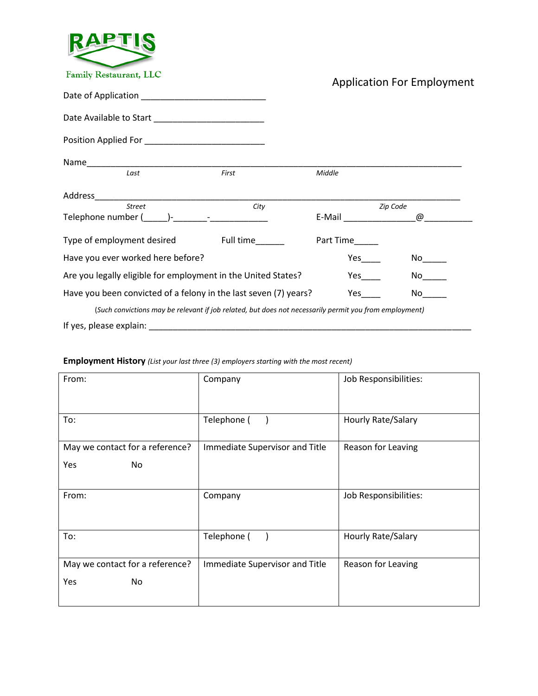

Application For Employment

| Last                                                                                                   | First | Middle               |                                                                                                                                                                                                                                |
|--------------------------------------------------------------------------------------------------------|-------|----------------------|--------------------------------------------------------------------------------------------------------------------------------------------------------------------------------------------------------------------------------|
|                                                                                                        |       |                      |                                                                                                                                                                                                                                |
| <b>Street</b>                                                                                          | City  |                      | Zip Code                                                                                                                                                                                                                       |
| Telephone number ( )- Telephone number ( )-                                                            |       | E-Mail <b>E-Mail</b> | @                                                                                                                                                                                                                              |
| Type of employment desired Full time                                                                   |       | Part Time            |                                                                                                                                                                                                                                |
| Have you ever worked here before?                                                                      |       |                      |                                                                                                                                                                                                                                |
| Are you legally eligible for employment in the United States?                                          |       |                      |                                                                                                                                                                                                                                |
| Have you been convicted of a felony in the last seven (7) years?                                       |       | Yes                  | No lot in the set of the set of the set of the set of the set of the set of the set of the set of the set of the set of the set of the set of the set of the set of the set of the set of the set of the set of the set of the |
| (Such convictions may be relevant if job related, but does not necessarily permit you from employment) |       |                      |                                                                                                                                                                                                                                |
| If yes, please explain:                                                                                |       |                      |                                                                                                                                                                                                                                |

## **Employment History** *(List your last three (3) employers starting with the most recent)*

| From:                                         | Company                        | Job Responsibilities: |
|-----------------------------------------------|--------------------------------|-----------------------|
| To:                                           | Telephone (                    | Hourly Rate/Salary    |
| May we contact for a reference?<br>Yes<br>No. | Immediate Supervisor and Title | Reason for Leaving    |
| From:                                         | Company                        | Job Responsibilities: |
| To:                                           | Telephone (                    | Hourly Rate/Salary    |
| May we contact for a reference?<br>Yes<br>No. | Immediate Supervisor and Title | Reason for Leaving    |